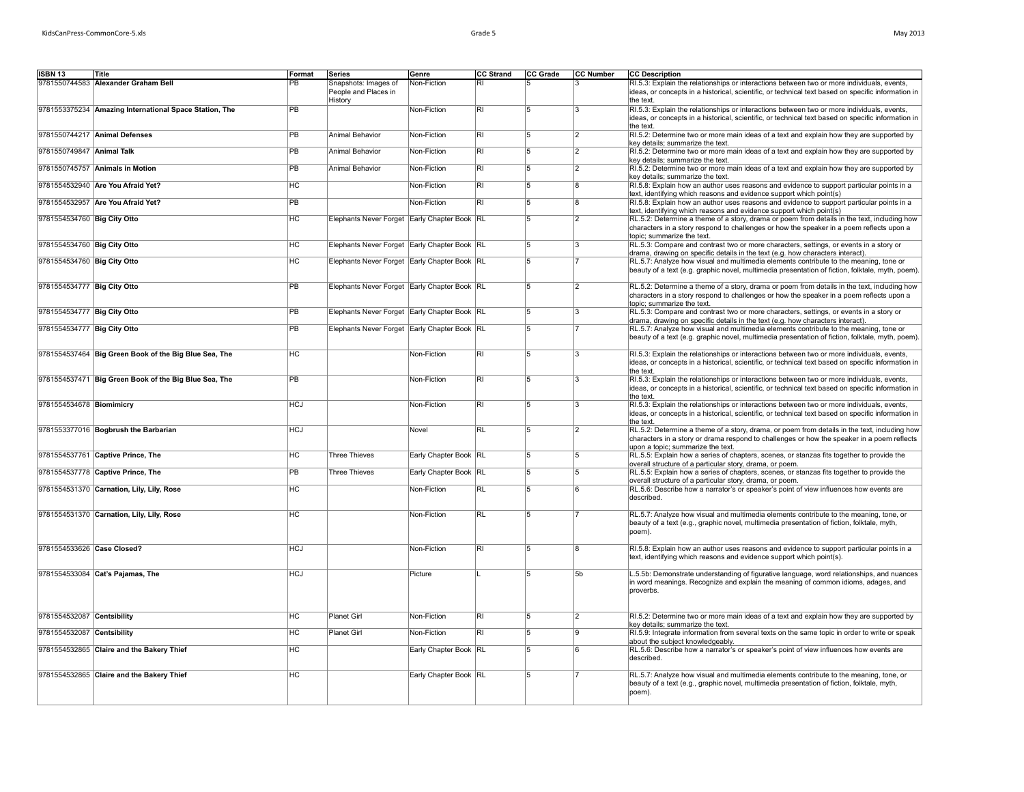| May 2013 |  |
|----------|--|
|----------|--|

| <b>ISBN 13</b>              | Title                                                  | Format          | Series                                       | Genre                 | <b>CC Strand</b> | CC Grade | <b>CC Number</b>        | <b>CC Description</b>                                                                                                                                                                                                           |
|-----------------------------|--------------------------------------------------------|-----------------|----------------------------------------------|-----------------------|------------------|----------|-------------------------|---------------------------------------------------------------------------------------------------------------------------------------------------------------------------------------------------------------------------------|
|                             | 9781550744583 Alexander Graham Bell                    | PB              | Snapshots: Images of                         | Non-Fiction           | R                |          |                         | RI.5.3: Explain the relationships or interactions between two or more individuals, events,                                                                                                                                      |
|                             |                                                        |                 | People and Places in<br>History              |                       |                  |          |                         | ideas, or concepts in a historical, scientific, or technical text based on specific information in<br>the text.                                                                                                                 |
|                             | 9781553375234 Amazing International Space Station, The | <b>PB</b>       |                                              | Non-Fiction           | RI               | 5        | l3                      | RI.5.3: Explain the relationships or interactions between two or more individuals, events,<br>ideas, or concepts in a historical, scientific, or technical text based on specific information in<br>the text.                   |
|                             | 9781550744217 Animal Defenses                          | $\overline{PB}$ | Animal Behavior                              | Non-Fiction           | RI               | 5        | 2                       | RI.5.2: Determine two or more main ideas of a text and explain how they are supported by<br>key details; summarize the text.                                                                                                    |
| 9781550749847 Animal Talk   |                                                        | <b>PB</b>       | Animal Behavior                              | Non-Fiction           | R <sub>1</sub>   | 5        | 2                       | RI.5.2: Determine two or more main ideas of a text and explain how they are supported by<br>key details; summarize the text.                                                                                                    |
|                             | 9781550745757 Animals in Motion                        | PB              | Animal Behavior                              | Non-Fiction           | RI               | 5        | 12                      | RI.5.2: Determine two or more main ideas of a text and explain how they are supported by<br>key details; summarize the text.                                                                                                    |
|                             | 9781554532940 Are You Afraid Yet?                      | HC              |                                              | Non-Fiction           | $\overline{RI}$  | 5        | 8                       | RI.5.8: Explain how an author uses reasons and evidence to support particular points in a<br>text, identifying which reasons and evidence support which point(s)                                                                |
|                             | 9781554532957 Are You Afraid Yet?                      | PB              |                                              | Non-Fiction           | $\overline{RI}$  | 5        | R.                      | RI.5.8: Explain how an author uses reasons and evidence to support particular points in a<br>text, identifying which reasons and evidence support which point(s)                                                                |
| 9781554534760 Big City Otto |                                                        | НC              | Elephants Never Forget Early Chapter Book RL |                       |                  | 5        | 2                       | RL.5.2: Determine a theme of a story, drama or poem from details in the text, including how<br>characters in a story respond to challenges or how the speaker in a poem reflects upon a<br>topic; summarize the text.           |
| 9781554534760 Big City Otto |                                                        | HC              | Elephants Never Forget Early Chapter Book RL |                       |                  | 5        | $\overline{\mathbf{3}}$ | RL.5.3: Compare and contrast two or more characters, settings, or events in a story or<br>drama, drawing on specific details in the text (e.g. how characters interact).                                                        |
| 9781554534760 Big City Otto |                                                        | HC              | Elephants Never Forget Early Chapter Book RL |                       |                  | 5        |                         | RL.5.7: Analyze how visual and multimedia elements contribute to the meaning, tone or<br>beauty of a text (e.g. graphic novel, multimedia presentation of fiction, folktale, myth, poem).                                       |
| 9781554534777 Big City Otto |                                                        | <b>PB</b>       | Elephants Never Forget Early Chapter Book RL |                       |                  | 5        | $\overline{2}$          | RL.5.2: Determine a theme of a story, drama or poem from details in the text, including how<br>characters in a story respond to challenges or how the speaker in a poem reflects upon a<br>topic; summarize the text.           |
| 9781554534777 Big City Otto |                                                        | <b>PB</b>       | Elephants Never Forget Early Chapter Book RL |                       |                  | 5        | l3                      | RL.5.3: Compare and contrast two or more characters, settings, or events in a story or<br>drama, drawing on specific details in the text (e.g. how characters interact).                                                        |
| 9781554534777 Big City Otto |                                                        | PB              | Elephants Never Forget Early Chapter Book RL |                       |                  | 15       |                         | RL.5.7: Analyze how visual and multimedia elements contribute to the meaning, tone or<br>beauty of a text (e.g. graphic novel, multimedia presentation of fiction, folktale, myth, poem).                                       |
|                             | 9781554537464 Big Green Book of the Big Blue Sea, The  | HC              |                                              | Non-Fiction           | $\overline{RI}$  | 15       | I٩                      | RI.5.3: Explain the relationships or interactions between two or more individuals, events,<br>ideas, or concepts in a historical, scientific, or technical text based on specific information in<br>the text.                   |
|                             | 9781554537471 Big Green Book of the Big Blue Sea, The  | $\overline{PB}$ |                                              | Non-Fiction           | R <sub>l</sub>   | 5        | 3                       | RI.5.3: Explain the relationships or interactions between two or more individuals, events,<br>ideas, or concepts in a historical, scientific, or technical text based on specific information in<br>the text.                   |
| 9781554534678 Biomimicry    |                                                        | <b>HCJ</b>      |                                              | Non-Fiction           | <b>RI</b>        | 5        | 3                       | RI.5.3: Explain the relationships or interactions between two or more individuals, events,<br>ideas, or concepts in a historical, scientific, or technical text based on specific information in<br>the text.                   |
|                             | 9781553377016 Bogbrush the Barbarian                   | <b>HCJ</b>      |                                              | Novel                 | $\overline{RL}$  | 15       | 12                      | RL.5.2: Determine a theme of a story, drama, or poem from details in the text, including how<br>characters in a story or drama respond to challenges or how the speaker in a poem reflects<br>upon a topic; summarize the text. |
|                             | 9781554537761 Captive Prince, The                      | HC              | <b>Three Thieves</b>                         | Early Chapter Book RL |                  | 5        | 15                      | RL.5.5: Explain how a series of chapters, scenes, or stanzas fits together to provide the<br>overall structure of a particular story, drama, or poem.                                                                           |
|                             | 9781554537778 Captive Prince, The                      | <b>PB</b>       | <b>Three Thieves</b>                         | Early Chapter Book RL |                  | 15       | 5                       | RL.5.5: Explain how a series of chapters, scenes, or stanzas fits together to provide the<br>overall structure of a particular story, drama, or poem.                                                                           |
|                             | 9781554531370 Carnation, Lily, Lily, Rose              | $\overline{HC}$ |                                              | Non-Fiction           | <b>RL</b>        | 15       | l R                     | RL.5.6: Describe how a narrator's or speaker's point of view influences how events are<br>described.                                                                                                                            |
|                             | 9781554531370 Carnation, Lily, Lily, Rose              | HC              |                                              | Non-Fiction           | RL               | 5        |                         | RL.5.7: Analyze how visual and multimedia elements contribute to the meaning, tone, or<br>beauty of a text (e.g., graphic novel, multimedia presentation of fiction, folktale, myth,<br>poem).                                  |
| 9781554533626 Case Closed?  |                                                        | <b>HCJ</b>      |                                              | Non-Fiction           | RI               | 5        | 8                       | RI.5.8: Explain how an author uses reasons and evidence to support particular points in a<br>text, identifying which reasons and evidence support which point(s).                                                               |
|                             | 9781554533084 Cat's Pajamas, The                       | <b>HCJ</b>      |                                              | Picture               |                  | 15       | 5b                      | L.5.5b: Demonstrate understanding of figurative language, word relationships, and nuances<br>in word meanings. Recognize and explain the meaning of common idioms, adages, and<br>proverbs.                                     |
| 9781554532087 Centsibility  |                                                        | HC              | Planet Girl                                  | Non-Fiction           | $\overline{RI}$  | 5        | 2                       | RI.5.2: Determine two or more main ideas of a text and explain how they are supported by<br>key details; summarize the text.                                                                                                    |
| 9781554532087 Centsibility  |                                                        | HC              | Planet Girl                                  | Non-Fiction           | R <sub>1</sub>   | 5        | ۱g                      | RI.5.9: Integrate information from several texts on the same topic in order to write or speak<br>about the subject knowledgeably.                                                                                               |
|                             | 9781554532865 Claire and the Bakery Thief              | HC.             |                                              | Early Chapter Book RL |                  | l5       | l R                     | RL.5.6: Describe how a narrator's or speaker's point of view influences how events are<br>described.                                                                                                                            |
|                             | 9781554532865 Claire and the Bakery Thief              | HC              |                                              | Early Chapter Book RL |                  | 15       |                         | RL.5.7: Analyze how visual and multimedia elements contribute to the meaning, tone, or<br>beauty of a text (e.g., graphic novel, multimedia presentation of fiction, folktale, myth,<br>poem).                                  |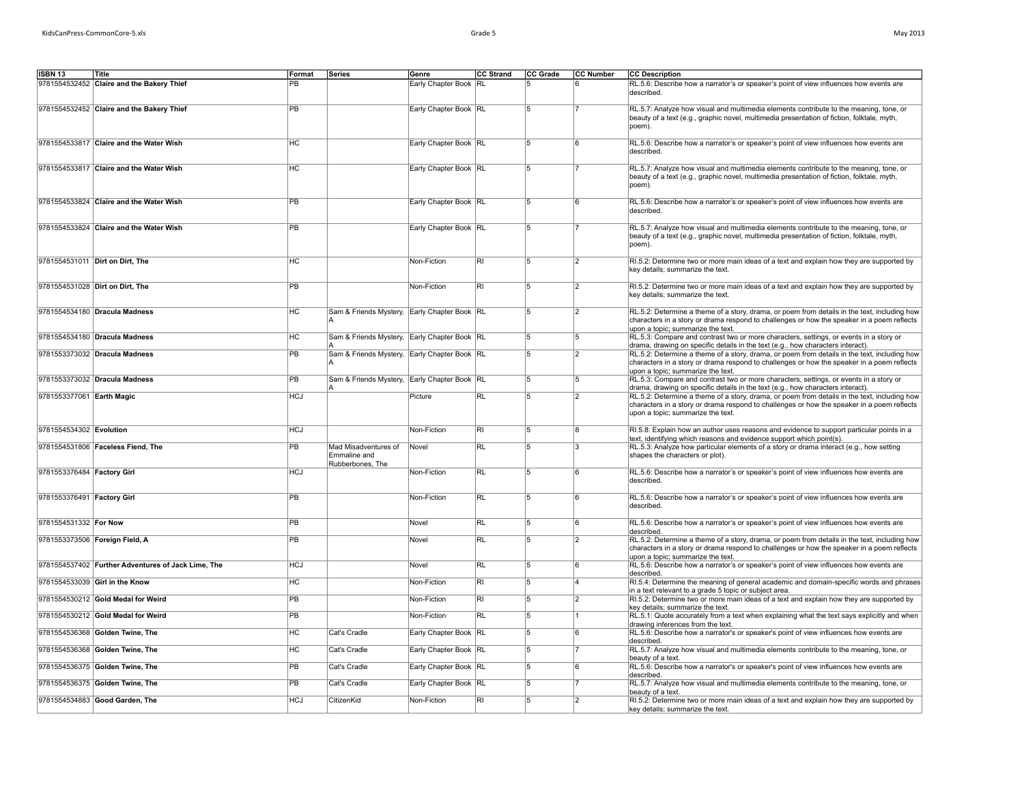| May 2013 |  |
|----------|--|
|----------|--|

| ISBN 13                    | Title                                              | Format          | Series                                                   | Genre                   | CC Strand                | CC Grade       | <b>CC Number</b> | <b>CC Description</b>                                                                                                                                                                                                           |
|----------------------------|----------------------------------------------------|-----------------|----------------------------------------------------------|-------------------------|--------------------------|----------------|------------------|---------------------------------------------------------------------------------------------------------------------------------------------------------------------------------------------------------------------------------|
|                            | 9781554532452 Claire and the Bakery Thief          | PB              |                                                          | Early Chapter Book RL   |                          | 15.            |                  | RL.5.6: Describe how a narrator's or speaker's point of view influences how events are<br>described.                                                                                                                            |
|                            | 9781554532452 Claire and the Bakery Thief          | PB              |                                                          | Early Chapter Book RL   |                          | 5              |                  | RL.5.7: Analyze how visual and multimedia elements contribute to the meaning, tone, or<br>beauty of a text (e.g., graphic novel, multimedia presentation of fiction, folktale, myth,<br>(poem).                                 |
|                            | 9781554533817 Claire and the Water Wish            | HC              |                                                          | Early Chapter Book   RL |                          | 5              | 6                | RL.5.6: Describe how a narrator's or speaker's point of view influences how events are<br>described.                                                                                                                            |
|                            | 9781554533817 Claire and the Water Wish            | <b>HC</b>       |                                                          | Early Chapter Book RL   |                          | 5              |                  | RL.5.7: Analyze how visual and multimedia elements contribute to the meaning, tone, or<br>beauty of a text (e.g., graphic novel, multimedia presentation of fiction, folktale, myth,<br>(poem).                                 |
|                            | 9781554533824 Claire and the Water Wish            | <b>PB</b>       |                                                          | Early Chapter Book   RL |                          | 5              | 6                | RL.5.6: Describe how a narrator's or speaker's point of view influences how events are<br>described.                                                                                                                            |
|                            | 9781554533824 Claire and the Water Wish            | PB              |                                                          | Early Chapter Book RL   |                          | 5              |                  | RL.5.7: Analyze how visual and multimedia elements contribute to the meaning, tone, or<br>beauty of a text (e.g., graphic novel, multimedia presentation of fiction, folktale, myth,<br>poem).                                  |
|                            | 9781554531011 Dirt on Dirt, The                    | HC              |                                                          | Non-Fiction             | $\overline{\mathsf{R}}$  | 5              | 12               | RI.5.2: Determine two or more main ideas of a text and explain how they are supported by<br>key details; summarize the text.                                                                                                    |
|                            | 9781554531028 Dirt on Dirt, The                    | $\overline{PB}$ |                                                          | Non-Fiction             | $\overline{\mathsf{RI}}$ | 15             | 2                | RI.5.2: Determine two or more main ideas of a text and explain how they are supported by<br>key details; summarize the text.                                                                                                    |
|                            | 9781554534180 Dracula Madness                      | HC              | Sam & Friends Mystery, Early Chapter Book RL             |                         |                          | 15             | 12               | RL.5.2: Determine a theme of a story, drama, or poem from details in the text, including how<br>characters in a story or drama respond to challenges or how the speaker in a poem reflects<br>upon a topic; summarize the text. |
|                            | 9781554534180 Dracula Madness                      | HC              | Sam & Friends Mystery, Early Chapter Book RL             |                         |                          | 5              | 5                | RL.5.3: Compare and contrast two or more characters, settings, or events in a story or<br>drama, drawing on specific details in the text (e.g., how characters interact).                                                       |
|                            | 9781553373032 Dracula Madness                      | PB              | Sam & Friends Mystery, Early Chapter Book RL             |                         |                          | 5              | 2                | RL.5.2: Determine a theme of a story, drama, or poem from details in the text, including how<br>characters in a story or drama respond to challenges or how the speaker in a poem reflects<br>upon a topic; summarize the text. |
|                            | 9781553373032 Dracula Madness                      | PB              | Sam & Friends Mystery, Early Chapter Book RL             |                         |                          | 5              | 5                | RL.5.3: Compare and contrast two or more characters, settings, or events in a story or<br>drama, drawing on specific details in the text (e.g., how characters interact).                                                       |
| 9781553377061 Earth Magic  |                                                    | <b>HCJ</b>      |                                                          | Picture                 | <b>RL</b>                | 5              | 2                | RL.5.2: Determine a theme of a story, drama, or poem from details in the text, including how<br>characters in a story or drama respond to challenges or how the speaker in a poem reflects<br>upon a topic; summarize the text. |
| 9781554534302 Evolution    |                                                    | <b>HCJ</b>      |                                                          | Non-Fiction             | $\overline{\mathsf{R}}$  | 5              | 8                | RI.5.8: Explain how an author uses reasons and evidence to support particular points in a<br>text, identifying which reasons and evidence support which point(s).                                                               |
|                            | 9781554531806 Faceless Fiend, The                  | $\overline{PB}$ | Mad Misadventures of<br>Emmaline and<br>Rubberbones, The | Novel                   | RL                       | $\overline{5}$ | ıз               | RL.5.3: Analyze how particular elements of a story or drama interact (e.g., how setting<br>shapes the characters or plot).                                                                                                      |
| 9781553376484 Factory Girl |                                                    | <b>HCJ</b>      |                                                          | Non-Fiction             | RL                       | 15             | ۱ĥ               | RL.5.6: Describe how a narrator's or speaker's point of view influences how events are<br>described.                                                                                                                            |
| 9781553376491 Factory Girl |                                                    | PB              |                                                          | Non-Fiction             | RL                       | 5              |                  | RL.5.6: Describe how a narrator's or speaker's point of view influences how events are<br>described.                                                                                                                            |
| 9781554531332 For Now      |                                                    | PB              |                                                          | Novel                   | $\overline{R}$           | $\overline{5}$ | ۱ĥ               | RL.5.6: Describe how a narrator's or speaker's point of view influences how events are<br>described.                                                                                                                            |
|                            | 9781553373506 Foreign Field, A                     | <b>PB</b>       |                                                          | Novel                   | <b>RL</b>                | 5              |                  | RL.5.2: Determine a theme of a story, drama, or poem from details in the text, including how<br>characters in a story or drama respond to challenges or how the speaker in a poem reflects<br>upon a topic; summarize the text. |
|                            | 9781554537402 Further Adventures of Jack Lime, The | <b>HCJ</b>      |                                                          | Novel                   | $\overline{\text{RL}}$   | 5              | 6                | RL.5.6: Describe how a narrator's or speaker's point of view influences how events are<br>described.                                                                                                                            |
|                            | 9781554533039 Girl in the Know                     | HC              |                                                          | Non-Fiction             | $\overline{\mathsf{R}}$  | 5              | 14               | RI.5.4: Determine the meaning of general academic and domain-specific words and phrases<br>in a text relevant to a grade 5 topic or subject area.                                                                               |
|                            | 9781554530212 Gold Medal for Weird                 | PB              |                                                          | Non-Fiction             | $\overline{\mathsf{R}}$  | 5              | $\overline{2}$   | RI.5.2: Determine two or more main ideas of a text and explain how they are supported by<br>key details; summarize the text.                                                                                                    |
|                            | 9781554530212 Gold Medal for Weird                 | PB              |                                                          | Non-Fiction             | RL                       | 15.            |                  | RL.5.1: Quote accurately from a text when explaining what the text says explicitly and when<br>drawing inferences from the text.                                                                                                |
|                            | 9781554536368 Golden Twine, The                    | HC              | Cat's Cradle                                             | Early Chapter Book   RL |                          | 15             | ۱ĥ               | RL.5.6: Describe how a narrator's or speaker's point of view influences how events are<br>described                                                                                                                             |
|                            | 9781554536368 Golden Twine, The                    | HC              | Cat's Cradle                                             | Early Chapter Book RL   |                          | 5              |                  | RL.5.7: Analyze how visual and multimedia elements contribute to the meaning, tone, or<br>beauty of a text.                                                                                                                     |
|                            | 9781554536375 Golden Twine, The                    | PB              | Cat's Cradle                                             | Early Chapter Book   RL |                          | 5              | 6                | RL.5.6: Describe how a narrator's or speaker's point of view influences how events are<br>described.                                                                                                                            |
|                            | 9781554536375 Golden Twine, The                    | PB              | Cat's Cradle                                             | Early Chapter Book RL   |                          | $\overline{5}$ |                  | RL.5.7: Analyze how visual and multimedia elements contribute to the meaning, tone, or<br>beauty of a text.                                                                                                                     |
|                            | 9781554534883 Good Garden, The                     | <b>HCJ</b>      | CitizenKid                                               | Non-Fiction             | R <sub>1</sub>           | $\overline{5}$ | $\overline{2}$   | RI.5.2: Determine two or more main ideas of a text and explain how they are supported by<br>key details; summarize the text.                                                                                                    |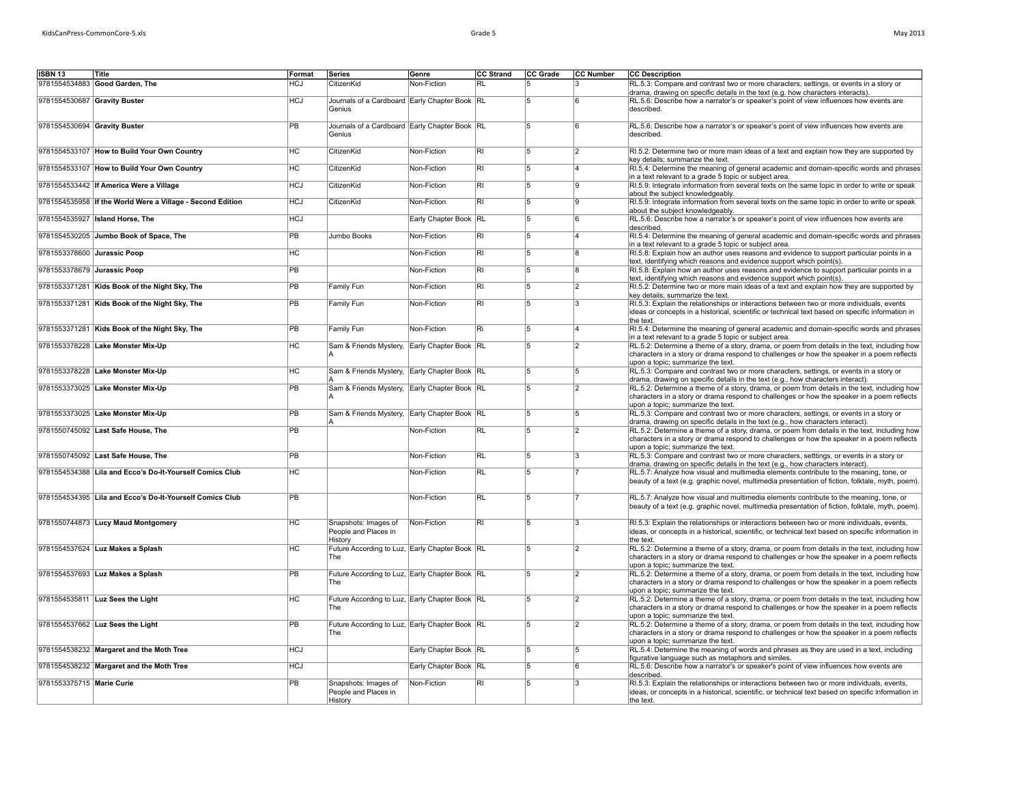| Mav 2013 |
|----------|
|          |

| CC Strand<br>CC Grade<br>CC Number<br><b>CC Description</b><br><b>ISBN 13</b><br>Title<br>Format<br>Series<br>Genre<br>9781554534883 Good Garden, The<br><b>HCJ</b><br>CitizenKid<br>Non-Fiction<br>RL.5.3: Compare and contrast two or more characters, settings, or events in a story or<br><b>RL</b><br>5<br>3<br>drama, drawing on specific details in the text (e.g. how characters interacts).<br>9781554530687 Gravity Buster<br>$\overline{HCJ}$<br>Journals of a Cardboard Early Chapter Book RL<br>RL.5.6: Describe how a narrator's or speaker's point of view influences how events are<br>5<br>ĥ<br>described.<br>Genius<br>9781554530694 Gravity Buster<br>PB<br>Journals of a Cardboard Early Chapter Book RL<br>15<br>R.<br>Genius<br>described.<br>H <sub>C</sub><br>Non-Fiction<br>$\overline{RI}$<br>9781554533107 How to Build Your Own Country<br>CitizenKid<br>5<br>$\overline{2}$<br>key details; summarize the text.<br>H <sub>C</sub><br>$\overline{RI}$<br>9781554533107 How to Build Your Own Country<br>CitizenKid<br>Non-Fiction<br>5<br>4<br>in a text relevant to a grade 5 topic or subject area.<br><b>HCJ</b><br>$\overline{RI}$<br>9781554533442 If America Were a Village<br>CitizenKid<br>Non-Fiction<br>5<br>a<br>about the subject knowledgeably.<br>9781554535958 If the World Were a Village - Second Edition<br><b>HCJ</b><br>CitizenKid<br>Non-Fiction<br>RI<br>5<br>g<br>about the subject knowledgeably.<br>HCJ<br>Early Chapter Book RL<br>9781554535927 Island Horse, The<br>15<br>ĥ.<br>described.<br>9781554530205 Jumbo Book of Space, The<br><b>PB</b><br>Jumbo Books<br>Non-Fiction<br>RI<br>5<br>in a text relevant to a grade 5 topic or subject area.<br>9781553378600 Jurassic Poop<br>HC<br>Non-Fiction<br>RI<br>5<br>8<br>text, identifying which reasons and evidence support which point(s).<br>9781553378679 Jurassic Poop<br><b>PB</b><br><b>RI</b><br>Non-Fiction<br>5<br>8<br>text, identifying which reasons and evidence support which point(s).<br>$\overline{RI}$<br>9781553371281 Kids Book of the Night Sky, The<br>PB<br>Family Fun<br>Non-Fiction<br>5<br>2<br>key details; summarize the text.<br>9781553371281 Kids Book of the Night Sky, The<br>Family Fun<br>Non-Fiction<br>R <sub>1</sub><br>PB<br>3<br>15<br>the text.<br>9781553371281 Kids Book of the Night Sky, The<br><b>PB</b><br>Family Fun<br>Non-Fiction<br>Ri<br>5<br>۱4<br>in a text relevant to a grade 5 topic or subject area.<br>9781553378228 Lake Monster Mix-Up<br>H <sub>C</sub><br>$\overline{5}$<br>Sam & Friends Mystery, Early Chapter Book RL<br>$\overline{2}$ |                                                                                                                                                                                                  |
|------------------------------------------------------------------------------------------------------------------------------------------------------------------------------------------------------------------------------------------------------------------------------------------------------------------------------------------------------------------------------------------------------------------------------------------------------------------------------------------------------------------------------------------------------------------------------------------------------------------------------------------------------------------------------------------------------------------------------------------------------------------------------------------------------------------------------------------------------------------------------------------------------------------------------------------------------------------------------------------------------------------------------------------------------------------------------------------------------------------------------------------------------------------------------------------------------------------------------------------------------------------------------------------------------------------------------------------------------------------------------------------------------------------------------------------------------------------------------------------------------------------------------------------------------------------------------------------------------------------------------------------------------------------------------------------------------------------------------------------------------------------------------------------------------------------------------------------------------------------------------------------------------------------------------------------------------------------------------------------------------------------------------------------------------------------------------------------------------------------------------------------------------------------------------------------------------------------------------------------------------------------------------------------------------------------------------------------------------------------------------------------------------------------------------------------------------------------------------------------------------------------------------------------------------------------------------------------------------------------------|--------------------------------------------------------------------------------------------------------------------------------------------------------------------------------------------------|
|                                                                                                                                                                                                                                                                                                                                                                                                                                                                                                                                                                                                                                                                                                                                                                                                                                                                                                                                                                                                                                                                                                                                                                                                                                                                                                                                                                                                                                                                                                                                                                                                                                                                                                                                                                                                                                                                                                                                                                                                                                                                                                                                                                                                                                                                                                                                                                                                                                                                                                                                                                                                                        |                                                                                                                                                                                                  |
|                                                                                                                                                                                                                                                                                                                                                                                                                                                                                                                                                                                                                                                                                                                                                                                                                                                                                                                                                                                                                                                                                                                                                                                                                                                                                                                                                                                                                                                                                                                                                                                                                                                                                                                                                                                                                                                                                                                                                                                                                                                                                                                                                                                                                                                                                                                                                                                                                                                                                                                                                                                                                        |                                                                                                                                                                                                  |
|                                                                                                                                                                                                                                                                                                                                                                                                                                                                                                                                                                                                                                                                                                                                                                                                                                                                                                                                                                                                                                                                                                                                                                                                                                                                                                                                                                                                                                                                                                                                                                                                                                                                                                                                                                                                                                                                                                                                                                                                                                                                                                                                                                                                                                                                                                                                                                                                                                                                                                                                                                                                                        |                                                                                                                                                                                                  |
|                                                                                                                                                                                                                                                                                                                                                                                                                                                                                                                                                                                                                                                                                                                                                                                                                                                                                                                                                                                                                                                                                                                                                                                                                                                                                                                                                                                                                                                                                                                                                                                                                                                                                                                                                                                                                                                                                                                                                                                                                                                                                                                                                                                                                                                                                                                                                                                                                                                                                                                                                                                                                        | RL.5.6: Describe how a narrator's or speaker's point of view influences how events are                                                                                                           |
|                                                                                                                                                                                                                                                                                                                                                                                                                                                                                                                                                                                                                                                                                                                                                                                                                                                                                                                                                                                                                                                                                                                                                                                                                                                                                                                                                                                                                                                                                                                                                                                                                                                                                                                                                                                                                                                                                                                                                                                                                                                                                                                                                                                                                                                                                                                                                                                                                                                                                                                                                                                                                        | RI.5.2: Determine two or more main ideas of a text and explain how they are supported by                                                                                                         |
|                                                                                                                                                                                                                                                                                                                                                                                                                                                                                                                                                                                                                                                                                                                                                                                                                                                                                                                                                                                                                                                                                                                                                                                                                                                                                                                                                                                                                                                                                                                                                                                                                                                                                                                                                                                                                                                                                                                                                                                                                                                                                                                                                                                                                                                                                                                                                                                                                                                                                                                                                                                                                        | RI.5.4: Determine the meaning of general academic and domain-specific words and phrases                                                                                                          |
|                                                                                                                                                                                                                                                                                                                                                                                                                                                                                                                                                                                                                                                                                                                                                                                                                                                                                                                                                                                                                                                                                                                                                                                                                                                                                                                                                                                                                                                                                                                                                                                                                                                                                                                                                                                                                                                                                                                                                                                                                                                                                                                                                                                                                                                                                                                                                                                                                                                                                                                                                                                                                        | RI.5.9: Integrate information from several texts on the same topic in order to write or speak                                                                                                    |
|                                                                                                                                                                                                                                                                                                                                                                                                                                                                                                                                                                                                                                                                                                                                                                                                                                                                                                                                                                                                                                                                                                                                                                                                                                                                                                                                                                                                                                                                                                                                                                                                                                                                                                                                                                                                                                                                                                                                                                                                                                                                                                                                                                                                                                                                                                                                                                                                                                                                                                                                                                                                                        | RI.5.9: Integrate information from several texts on the same topic in order to write or speak                                                                                                    |
|                                                                                                                                                                                                                                                                                                                                                                                                                                                                                                                                                                                                                                                                                                                                                                                                                                                                                                                                                                                                                                                                                                                                                                                                                                                                                                                                                                                                                                                                                                                                                                                                                                                                                                                                                                                                                                                                                                                                                                                                                                                                                                                                                                                                                                                                                                                                                                                                                                                                                                                                                                                                                        | RL.5.6: Describe how a narrator's or speaker's point of view influences how events are                                                                                                           |
|                                                                                                                                                                                                                                                                                                                                                                                                                                                                                                                                                                                                                                                                                                                                                                                                                                                                                                                                                                                                                                                                                                                                                                                                                                                                                                                                                                                                                                                                                                                                                                                                                                                                                                                                                                                                                                                                                                                                                                                                                                                                                                                                                                                                                                                                                                                                                                                                                                                                                                                                                                                                                        | RI.5.4: Determine the meaning of general academic and domain-specific words and phrases                                                                                                          |
|                                                                                                                                                                                                                                                                                                                                                                                                                                                                                                                                                                                                                                                                                                                                                                                                                                                                                                                                                                                                                                                                                                                                                                                                                                                                                                                                                                                                                                                                                                                                                                                                                                                                                                                                                                                                                                                                                                                                                                                                                                                                                                                                                                                                                                                                                                                                                                                                                                                                                                                                                                                                                        | RI.5.8: Explain how an author uses reasons and evidence to support particular points in a                                                                                                        |
|                                                                                                                                                                                                                                                                                                                                                                                                                                                                                                                                                                                                                                                                                                                                                                                                                                                                                                                                                                                                                                                                                                                                                                                                                                                                                                                                                                                                                                                                                                                                                                                                                                                                                                                                                                                                                                                                                                                                                                                                                                                                                                                                                                                                                                                                                                                                                                                                                                                                                                                                                                                                                        | RI.5.8: Explain how an author uses reasons and evidence to support particular points in a                                                                                                        |
|                                                                                                                                                                                                                                                                                                                                                                                                                                                                                                                                                                                                                                                                                                                                                                                                                                                                                                                                                                                                                                                                                                                                                                                                                                                                                                                                                                                                                                                                                                                                                                                                                                                                                                                                                                                                                                                                                                                                                                                                                                                                                                                                                                                                                                                                                                                                                                                                                                                                                                                                                                                                                        | RI.5.2: Determine two or more main ideas of a text and explain how they are supported by                                                                                                         |
|                                                                                                                                                                                                                                                                                                                                                                                                                                                                                                                                                                                                                                                                                                                                                                                                                                                                                                                                                                                                                                                                                                                                                                                                                                                                                                                                                                                                                                                                                                                                                                                                                                                                                                                                                                                                                                                                                                                                                                                                                                                                                                                                                                                                                                                                                                                                                                                                                                                                                                                                                                                                                        | RI.5.3: Explain the relationships or interactions between two or more individuals, events<br>ideas or concepts in a historical, scientific or technical text based on specific information in    |
|                                                                                                                                                                                                                                                                                                                                                                                                                                                                                                                                                                                                                                                                                                                                                                                                                                                                                                                                                                                                                                                                                                                                                                                                                                                                                                                                                                                                                                                                                                                                                                                                                                                                                                                                                                                                                                                                                                                                                                                                                                                                                                                                                                                                                                                                                                                                                                                                                                                                                                                                                                                                                        | RI.5.4: Determine the meaning of general academic and domain-specific words and phrases                                                                                                          |
| upon a topic; summarize the text.                                                                                                                                                                                                                                                                                                                                                                                                                                                                                                                                                                                                                                                                                                                                                                                                                                                                                                                                                                                                                                                                                                                                                                                                                                                                                                                                                                                                                                                                                                                                                                                                                                                                                                                                                                                                                                                                                                                                                                                                                                                                                                                                                                                                                                                                                                                                                                                                                                                                                                                                                                                      | RL.5.2: Determine a theme of a story, drama, or poem from details in the text, including how<br>characters in a story or drama respond to challenges or how the speaker in a poem reflects       |
| 9781553378228 Lake Monster Mix-Up<br><b>HC</b><br>Sam & Friends Mystery, Early Chapter Book RL<br>15<br>5<br>drama, drawing on specific details in the text (e.g., how characters interact).                                                                                                                                                                                                                                                                                                                                                                                                                                                                                                                                                                                                                                                                                                                                                                                                                                                                                                                                                                                                                                                                                                                                                                                                                                                                                                                                                                                                                                                                                                                                                                                                                                                                                                                                                                                                                                                                                                                                                                                                                                                                                                                                                                                                                                                                                                                                                                                                                           | RL.5.3: Compare and contrast two or more characters, settings, or events in a story or                                                                                                           |
| 9781553373025 Lake Monster Mix-Up<br>PB<br>Sam & Friends Mystery, Early Chapter Book RL<br>15<br>$\overline{2}$<br>upon a topic; summarize the text.                                                                                                                                                                                                                                                                                                                                                                                                                                                                                                                                                                                                                                                                                                                                                                                                                                                                                                                                                                                                                                                                                                                                                                                                                                                                                                                                                                                                                                                                                                                                                                                                                                                                                                                                                                                                                                                                                                                                                                                                                                                                                                                                                                                                                                                                                                                                                                                                                                                                   | RL.5.2: Determine a theme of a story, drama, or poem from details in the text, including how<br>characters in a story or drama respond to challenges or how the speaker in a poem reflects       |
| PB<br>Sam & Friends Mystery, Early Chapter Book RL<br>9781553373025 Lake Monster Mix-Up<br>5<br>5<br>drama, drawing on specific details in the text (e.g., how characters interact).                                                                                                                                                                                                                                                                                                                                                                                                                                                                                                                                                                                                                                                                                                                                                                                                                                                                                                                                                                                                                                                                                                                                                                                                                                                                                                                                                                                                                                                                                                                                                                                                                                                                                                                                                                                                                                                                                                                                                                                                                                                                                                                                                                                                                                                                                                                                                                                                                                   | RL.5.3: Compare and contrast two or more characters, settings, or events in a story or                                                                                                           |
| 9781550745092 Last Safe House, The<br>PB<br>Non-Fiction<br><b>RL</b><br>$\overline{2}$<br>5                                                                                                                                                                                                                                                                                                                                                                                                                                                                                                                                                                                                                                                                                                                                                                                                                                                                                                                                                                                                                                                                                                                                                                                                                                                                                                                                                                                                                                                                                                                                                                                                                                                                                                                                                                                                                                                                                                                                                                                                                                                                                                                                                                                                                                                                                                                                                                                                                                                                                                                            | RL.5.2: Determine a theme of a story, drama, or poem from details in the text, including how<br>characters in a story or drama respond to challenges or how the speaker in a poem reflects       |
| upon a topic; summarize the text.<br>9781550745092 Last Safe House. The<br><b>PB</b><br>Non-Fiction<br>R <sub>L</sub><br>5<br>l3                                                                                                                                                                                                                                                                                                                                                                                                                                                                                                                                                                                                                                                                                                                                                                                                                                                                                                                                                                                                                                                                                                                                                                                                                                                                                                                                                                                                                                                                                                                                                                                                                                                                                                                                                                                                                                                                                                                                                                                                                                                                                                                                                                                                                                                                                                                                                                                                                                                                                       | RL.5.3: Compare and contrast two or more characters, setttings, or events in a story or                                                                                                          |
| drama, drawing on specific details in the text (e.g., how characters interact).<br>RL<br>9781554534388 Lila and Ecco's Do-It-Yourself Comics Club<br>НC<br>Non-Fiction<br>5                                                                                                                                                                                                                                                                                                                                                                                                                                                                                                                                                                                                                                                                                                                                                                                                                                                                                                                                                                                                                                                                                                                                                                                                                                                                                                                                                                                                                                                                                                                                                                                                                                                                                                                                                                                                                                                                                                                                                                                                                                                                                                                                                                                                                                                                                                                                                                                                                                            | RL.5.7: Analyze how visual and multimedia elements contribute to the meaning, tone, or                                                                                                           |
|                                                                                                                                                                                                                                                                                                                                                                                                                                                                                                                                                                                                                                                                                                                                                                                                                                                                                                                                                                                                                                                                                                                                                                                                                                                                                                                                                                                                                                                                                                                                                                                                                                                                                                                                                                                                                                                                                                                                                                                                                                                                                                                                                                                                                                                                                                                                                                                                                                                                                                                                                                                                                        | beauty of a text (e.g. graphic novel, multimedia presentation of fiction, folktale, myth, poem).                                                                                                 |
| 9781554534395 Lila and Ecco's Do-It-Yourself Comics Club<br><b>PB</b><br>Non-Fiction<br><b>RL</b><br>15                                                                                                                                                                                                                                                                                                                                                                                                                                                                                                                                                                                                                                                                                                                                                                                                                                                                                                                                                                                                                                                                                                                                                                                                                                                                                                                                                                                                                                                                                                                                                                                                                                                                                                                                                                                                                                                                                                                                                                                                                                                                                                                                                                                                                                                                                                                                                                                                                                                                                                                | RL.5.7: Analyze how visual and multimedia elements contribute to the meaning, tone, or<br>beauty of a text (e.g. graphic novel, multimedia presentation of fiction, folktale, myth, poem).       |
| $\overline{HC}$<br>9781550744873 Lucy Maud Montgomery<br>Snapshots: Images of<br>Non-Fiction<br>RI<br>5<br>3<br>People and Places in<br>History<br>the text.                                                                                                                                                                                                                                                                                                                                                                                                                                                                                                                                                                                                                                                                                                                                                                                                                                                                                                                                                                                                                                                                                                                                                                                                                                                                                                                                                                                                                                                                                                                                                                                                                                                                                                                                                                                                                                                                                                                                                                                                                                                                                                                                                                                                                                                                                                                                                                                                                                                           | RI.5.3: Explain the relationships or interactions between two or more individuals, events,<br>ideas, or concepts in a historical, scientific, or technical text based on specific information in |
| Future According to Luz, Early Chapter Book RL<br>9781554537624 Luz Makes a Splash<br><b>HC</b><br>5<br>2<br>The<br>upon a topic; summarize the text.                                                                                                                                                                                                                                                                                                                                                                                                                                                                                                                                                                                                                                                                                                                                                                                                                                                                                                                                                                                                                                                                                                                                                                                                                                                                                                                                                                                                                                                                                                                                                                                                                                                                                                                                                                                                                                                                                                                                                                                                                                                                                                                                                                                                                                                                                                                                                                                                                                                                  | RL.5.2: Determine a theme of a story, drama, or poem from details in the text, including how<br>characters in a story or drama respond to challenges or how the speaker in a poem reflects       |
| 9781554537693 Luz Makes a Splash<br>$\overline{PB}$<br>Future According to Luz, Early Chapter Book RL<br>15<br>2<br>The<br>upon a topic; summarize the text.                                                                                                                                                                                                                                                                                                                                                                                                                                                                                                                                                                                                                                                                                                                                                                                                                                                                                                                                                                                                                                                                                                                                                                                                                                                                                                                                                                                                                                                                                                                                                                                                                                                                                                                                                                                                                                                                                                                                                                                                                                                                                                                                                                                                                                                                                                                                                                                                                                                           | RL.5.2: Determine a theme of a story, drama, or poem from details in the text, including how<br>characters in a story or drama respond to challenges or how the speaker in a poem reflects       |
| H <sub>C</sub><br>Future According to Luz, Early Chapter Book RL<br>9781554535811 Luz Sees the Light<br>15<br>2<br>The<br>upon a topic; summarize the text.                                                                                                                                                                                                                                                                                                                                                                                                                                                                                                                                                                                                                                                                                                                                                                                                                                                                                                                                                                                                                                                                                                                                                                                                                                                                                                                                                                                                                                                                                                                                                                                                                                                                                                                                                                                                                                                                                                                                                                                                                                                                                                                                                                                                                                                                                                                                                                                                                                                            | RL.5.2: Determine a theme of a story, drama, or poem from details in the text, including how<br>characters in a story or drama respond to challenges or how the speaker in a poem reflects       |
| 9781554537662 Luz Sees the Light<br>PB<br>Future According to Luz, Early Chapter Book RL<br>$\overline{2}$<br>5<br>The<br>upon a topic: summarize the text.                                                                                                                                                                                                                                                                                                                                                                                                                                                                                                                                                                                                                                                                                                                                                                                                                                                                                                                                                                                                                                                                                                                                                                                                                                                                                                                                                                                                                                                                                                                                                                                                                                                                                                                                                                                                                                                                                                                                                                                                                                                                                                                                                                                                                                                                                                                                                                                                                                                            | RL.5.2: Determine a theme of a story, drama, or poem from details in the text, including how<br>characters in a story or drama respond to challenges or how the speaker in a poem reflects       |
| 9781554538232 Margaret and the Moth Tree<br><b>HCJ</b><br>Early Chapter Book RL<br>15<br>15<br>figurative language such as metaphors and similes.                                                                                                                                                                                                                                                                                                                                                                                                                                                                                                                                                                                                                                                                                                                                                                                                                                                                                                                                                                                                                                                                                                                                                                                                                                                                                                                                                                                                                                                                                                                                                                                                                                                                                                                                                                                                                                                                                                                                                                                                                                                                                                                                                                                                                                                                                                                                                                                                                                                                      | RL.5.4: Determine the meaning of words and phrases as they are used in a text, including                                                                                                         |
| 9781554538232 Margaret and the Moth Tree<br><b>HCJ</b><br>Early Chapter Book RL<br>15<br>6<br>described.                                                                                                                                                                                                                                                                                                                                                                                                                                                                                                                                                                                                                                                                                                                                                                                                                                                                                                                                                                                                                                                                                                                                                                                                                                                                                                                                                                                                                                                                                                                                                                                                                                                                                                                                                                                                                                                                                                                                                                                                                                                                                                                                                                                                                                                                                                                                                                                                                                                                                                               | RL.5.6: Describe how a narrator's or speaker's point of view influences how events are                                                                                                           |
| 9781553375715 Marie Curie<br>PB<br>Snapshots: Images of<br>Non-Fiction<br><b>RI</b><br>5<br>3<br>People and Places in<br>ideas, or concepts in a historical, scientific, or technical text based on specific information in<br>History<br>the text.                                                                                                                                                                                                                                                                                                                                                                                                                                                                                                                                                                                                                                                                                                                                                                                                                                                                                                                                                                                                                                                                                                                                                                                                                                                                                                                                                                                                                                                                                                                                                                                                                                                                                                                                                                                                                                                                                                                                                                                                                                                                                                                                                                                                                                                                                                                                                                    | RI.5.3: Explain the relationships or interactions between two or more individuals, events,                                                                                                       |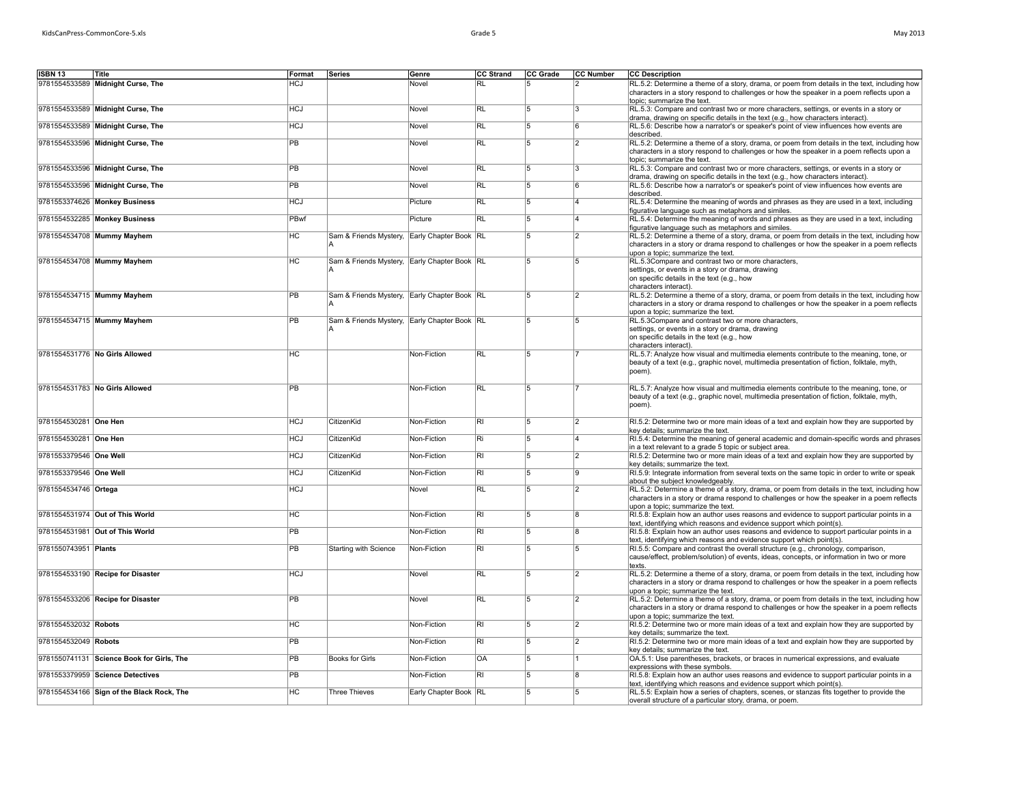| May 2013 |  |  |
|----------|--|--|
|----------|--|--|

| <b>ISBN 13</b>         | Title                                     | Format          | Series                                       | Genre                 | <b>CC Strand</b> | CC Grade       | CC Number      | <b>CC Description</b>                                                                                                                                                                                                           |
|------------------------|-------------------------------------------|-----------------|----------------------------------------------|-----------------------|------------------|----------------|----------------|---------------------------------------------------------------------------------------------------------------------------------------------------------------------------------------------------------------------------------|
|                        | 9781554533589 Midnight Curse, The         | HCJ             |                                              | Novel                 | $\overline{RL}$  |                | $\mathsf{r}$   |                                                                                                                                                                                                                                 |
|                        |                                           |                 |                                              |                       |                  |                |                | RL.5.2: Determine a theme of a story, drama, or poem from details in the text, including how<br>characters in a story respond to challenges or how the speaker in a poem reflects upon a<br>topic; summarize the text.          |
|                        | 9781554533589 Midnight Curse, The         | <b>HCJ</b>      |                                              | Novel                 | RL               | 5              | $\overline{3}$ | RL.5.3: Compare and contrast two or more characters, settings, or events in a story or<br>drama, drawing on specific details in the text (e.g., how characters interact).                                                       |
|                        | 9781554533589 Midnight Curse, The         | <b>HCJ</b>      |                                              | Novel                 | <b>RL</b>        | 5              | 6              | RL.5.6: Describe how a narrator's or speaker's point of view influences how events are<br>described.                                                                                                                            |
|                        | 9781554533596 Midnight Curse, The         | $\overline{PB}$ |                                              | Novel                 | $\overline{RL}$  | $\overline{5}$ | $\overline{2}$ | RL.5.2: Determine a theme of a story, drama, or poem from details in the text, including how<br>characters in a story respond to challenges or how the speaker in a poem reflects upon a<br>topic; summarize the text.          |
|                        | 9781554533596 Midnight Curse, The         | <b>PB</b>       |                                              | Novel                 | R <sub>L</sub>   | 15             | $ _{3}$        | RL.5.3: Compare and contrast two or more characters, settings, or events in a story or<br>drama, drawing on specific details in the text (e.g., how characters interact).                                                       |
|                        | 9781554533596 Midnight Curse, The         | $\overline{PB}$ |                                              | Novel                 | <b>RL</b>        | 5              | ۱ĥ             | RL.5.6: Describe how a narrator's or speaker's point of view influences how events are<br>described.                                                                                                                            |
|                        | 9781553374626 Monkey Business             | <b>HCJ</b>      |                                              | Picture               | <b>RL</b>        | 15             | l4             | RL.5.4: Determine the meaning of words and phrases as they are used in a text, including<br>figurative language such as metaphors and similes.                                                                                  |
|                        | 9781554532285 Monkey Business             | PBwf            |                                              | Picture               | <b>RL</b>        | 5              | 4              | RL.5.4: Determine the meaning of words and phrases as they are used in a text, including<br>figurative language such as metaphors and similes.                                                                                  |
|                        | 9781554534708 Mummy Mayhem                | нc              | Sam & Friends Mystery, Early Chapter Book RL |                       |                  | 5              | 2              | RL.5.2: Determine a theme of a story, drama, or poem from details in the text, including how<br>characters in a story or drama respond to challenges or how the speaker in a poem reflects<br>upon a topic; summarize the text. |
|                        | 9781554534708 Mummy Mayhem                | $\overline{HC}$ | Sam & Friends Mystery, Early Chapter Book RL |                       |                  | 5              | 5              | RL.5.3Compare and contrast two or more characters,<br>settings, or events in a story or drama, drawing<br>on specific details in the text (e.g., how<br>characters interact).                                                   |
|                        | 9781554534715 Mummy Mayhem                | $\overline{PB}$ | Sam & Friends Mystery, Early Chapter Book RL |                       |                  | 5              | $\overline{2}$ | RL.5.2: Determine a theme of a story, drama, or poem from details in the text, including how<br>characters in a story or drama respond to challenges or how the speaker in a poem reflects<br>upon a topic; summarize the text. |
|                        | 9781554534715 Mummy Mayhem                | $\overline{PB}$ | Sam & Friends Mystery, Early Chapter Book RL |                       |                  | 5              | 5              | RL.5.3Compare and contrast two or more characters,<br>settings, or events in a story or drama, drawing<br>on specific details in the text (e.g., how<br>characters interact).                                                   |
|                        | 9781554531776 No Girls Allowed            | <b>HC</b>       |                                              | Non-Fiction           | <b>RL</b>        | 15             |                | RL.5.7: Analyze how visual and multimedia elements contribute to the meaning, tone, or<br>beauty of a text (e.g., graphic novel, multimedia presentation of fiction, folktale, myth,<br>poem).                                  |
|                        | 9781554531783 No Girls Allowed            | PB              |                                              | Non-Fiction           | $\overline{RL}$  | 5              |                | RL.5.7: Analyze how visual and multimedia elements contribute to the meaning, tone, or<br>beauty of a text (e.g., graphic novel, multimedia presentation of fiction, folktale, myth,<br>poem).                                  |
| 9781554530281 One Hen  |                                           | <b>HCJ</b>      | CitizenKid                                   | Non-Fiction           | $\overline{R}$   | 5              | $ 2\rangle$    | RI.5.2: Determine two or more main ideas of a text and explain how they are supported by<br>key details; summarize the text.                                                                                                    |
| 9781554530281 One Hen  |                                           | <b>HCJ</b>      | CitizenKid                                   | Non-Fiction           | Ri               | 5              | 14             | RI.5.4: Determine the meaning of general academic and domain-specific words and phrases<br>in a text relevant to a grade 5 topic or subject area.                                                                               |
| 9781553379546 One Well |                                           | <b>HCJ</b>      | CitizenKid                                   | Non-Fiction           | $\overline{R}$   | 5              | $\vert$ 2      | RI.5.2: Determine two or more main ideas of a text and explain how they are supported by<br>key details; summarize the text.                                                                                                    |
| 9781553379546 One Well |                                           | <b>HCJ</b>      | CitizenKid                                   | Non-Fiction           | $\overline{R}$   | 5              | 9              | RI.5.9: Integrate information from several texts on the same topic in order to write or speak<br>about the subject knowledgeably.                                                                                               |
| 9781554534746 Ortega   |                                           | <b>HCJ</b>      |                                              | Novel                 | <b>RL</b>        | $\overline{5}$ | $\overline{2}$ | RL.5.2: Determine a theme of a story, drama, or poem from details in the text, including how<br>characters in a story or drama respond to challenges or how the speaker in a poem reflects<br>upon a topic; summarize the text. |
|                        | 9781554531974 Out of This World           | $\overline{HC}$ |                                              | Non-Fiction           | $\overline{RI}$  | 15             | 8              | RI.5.8: Explain how an author uses reasons and evidence to support particular points in a<br>text, identifying which reasons and evidence support which point(s).                                                               |
|                        | 9781554531981 Out of This World           | <b>PB</b>       |                                              | Non-Fiction           | $\overline{R}$   | 5              | 8              | RI.5.8: Explain how an author uses reasons and evidence to support particular points in a<br>text, identifying which reasons and evidence support which point(s).                                                               |
| 9781550743951 Plants   |                                           | $\overline{PB}$ | Starting with Science                        | Non-Fiction           | $\overline{R}$   | 5              | 15             | RI.5.5: Compare and contrast the overall structure (e.g., chronology, comparison,<br>cause/effect, problem/solution) of events, ideas, concepts, or information in two or more<br>texts.                                        |
|                        | 9781554533190 Recipe for Disaster         | <b>HCJ</b>      |                                              | Novel                 | $\overline{RL}$  | 5              | $\overline{2}$ | RL.5.2: Determine a theme of a story, drama, or poem from details in the text, including how<br>characters in a story or drama respond to challenges or how the speaker in a poem reflects<br>upon a topic: summarize the text. |
|                        | 9781554533206 Recipe for Disaster         | $\overline{PB}$ |                                              | Novel                 | RL               | 5              | $\overline{2}$ | RL.5.2: Determine a theme of a story, drama, or poem from details in the text, including how<br>characters in a story or drama respond to challenges or how the speaker in a poem reflects<br>upon a topic; summarize the text. |
| 9781554532032 Robots   |                                           | $\overline{HC}$ |                                              | Non-Fiction           | $\overline{RI}$  | 15             | $\overline{2}$ | RI.5.2: Determine two or more main ideas of a text and explain how they are supported by<br>key details; summarize the text.                                                                                                    |
| 9781554532049 Robots   |                                           | $\overline{PB}$ |                                              | Non-Fiction           | $\overline{RI}$  | $\overline{5}$ | $\overline{2}$ | RI.5.2: Determine two or more main ideas of a text and explain how they are supported by<br>key details; summarize the text.                                                                                                    |
|                        | 9781550741131 Science Book for Girls, The | $\overline{PB}$ | <b>Books for Girls</b>                       | Non-Fiction           | <b>OA</b>        | 5              |                | OA.5.1: Use parentheses, brackets, or braces in numerical expressions, and evaluate<br>expressions with these symbols.                                                                                                          |
|                        | 9781553379959 Science Detectives          | <b>PB</b>       |                                              | Non-Fiction           | $\overline{RI}$  | 5              | 8              | RI.5.8: Explain how an author uses reasons and evidence to support particular points in a<br>text, identifying which reasons and evidence support which point(s).                                                               |
|                        | 9781554534166 Sign of the Black Rock, The | НC              | <b>Three Thieves</b>                         | Early Chapter Book RL |                  | 5              | $\overline{5}$ | RL.5.5: Explain how a series of chapters, scenes, or stanzas fits together to provide the<br>overall structure of a particular story, drama, or poem.                                                                           |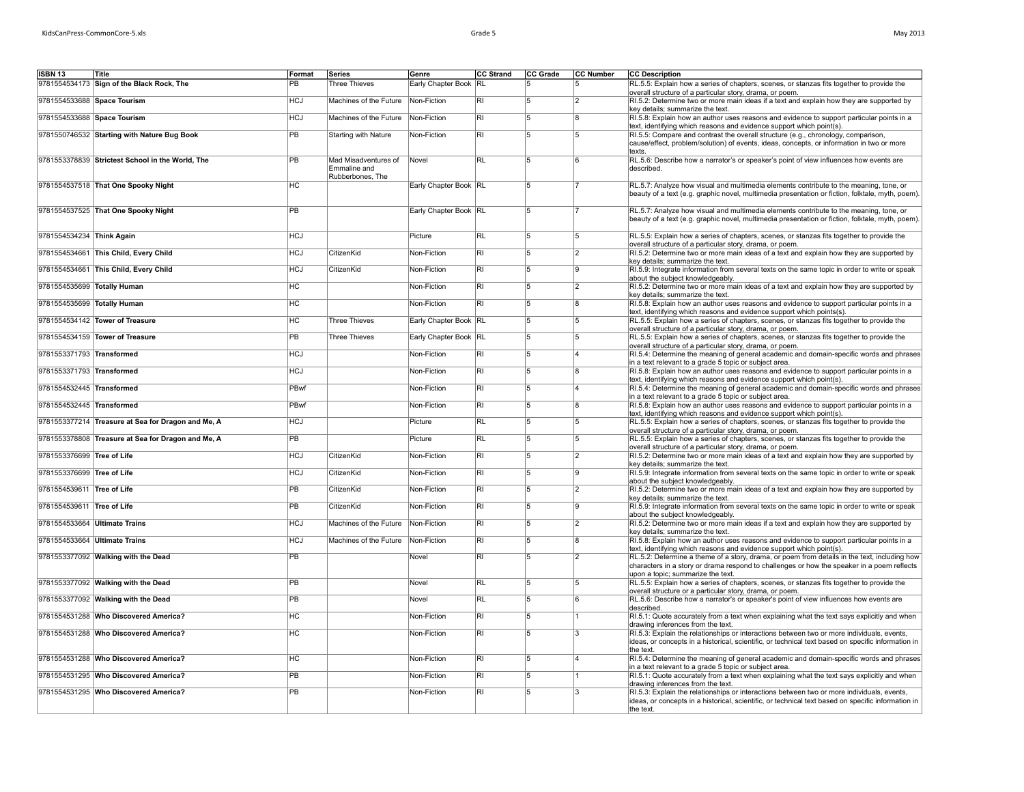|  | May 2013 |
|--|----------|
|--|----------|

| ISBN 13                     | Title                                              | Format          | <b>Series</b>                        | Genre                 | <b>CC Strand</b>        | CC Grade       | CC Number      | <b>CC Description</b>                                                                                                                                                                                                           |
|-----------------------------|----------------------------------------------------|-----------------|--------------------------------------|-----------------------|-------------------------|----------------|----------------|---------------------------------------------------------------------------------------------------------------------------------------------------------------------------------------------------------------------------------|
|                             | 9781554534173 Sign of the Black Rock, The          | PB              | <b>Three Thieves</b>                 | Early Chapter Book RL |                         | 15             |                | RL.5.5: Explain how a series of chapters, scenes, or stanzas fits together to provide the                                                                                                                                       |
|                             |                                                    |                 |                                      |                       |                         |                |                | overall structure of a particular story, drama, or poem.                                                                                                                                                                        |
| 9781554533688 Space Tourism |                                                    | HCl             | Machines of the Future               | Non-Fiction           | $\overline{RI}$         | 5              | $\overline{2}$ | RI.5.2: Determine two or more main ideas if a text and explain how they are supported by<br>key details; summarize the text.                                                                                                    |
| 9781554533688 Space Tourism |                                                    | HCl             | Machines of the Future               | Non-Fiction           | $\overline{RI}$         | 15             | R              | RI.5.8: Explain how an author uses reasons and evidence to support particular points in a<br>text, identifying which reasons and evidence support which point(s).                                                               |
|                             | 9781550746532 Starting with Nature Bug Book        | $\overline{PB}$ | Starting with Nature                 | Non-Fiction           | R <sub>l</sub>          | 15             | 15             | RI.5.5: Compare and contrast the overall structure (e.g., chronology, comparison,                                                                                                                                               |
|                             |                                                    |                 |                                      |                       |                         |                |                | cause/effect, problem/solution) of events, ideas, concepts, or information in two or more<br>texts.                                                                                                                             |
|                             | 9781553378839 Strictest School in the World, The   | $\overline{PB}$ | Mad Misadventures of<br>Emmaline and | Novel                 | RL                      | 15             | 6              | RL.5.6: Describe how a narrator's or speaker's point of view influences how events are<br>described.                                                                                                                            |
|                             |                                                    |                 | Rubberbones, The                     |                       |                         |                |                |                                                                                                                                                                                                                                 |
|                             | 9781554537518 That One Spooky Night                | $\overline{HC}$ |                                      | Early Chapter Book RL |                         | $\overline{5}$ |                | RL.5.7: Analyze how visual and multimedia elements contribute to the meaning, tone, or<br>beauty of a text (e.g. graphic novel, multimedia presentation or fiction, folktale, myth, poem).                                      |
|                             | 9781554537525 That One Spooky Night                | $\overline{PB}$ |                                      | Early Chapter Book RL |                         | 15             |                | RL.5.7: Analyze how visual and multimedia elements contribute to the meaning, tone, or<br>beauty of a text (e.g. graphic novel, multimedia presentation or fiction, folktale, myth, poem).                                      |
| 9781554534234 Think Again   |                                                    | <b>HCJ</b>      |                                      | Picture               | $\overline{RL}$         | $\overline{5}$ | 5              | RL.5.5: Explain how a series of chapters, scenes, or stanzas fits together to provide the                                                                                                                                       |
|                             | 9781554534661 This Child, Every Child              | <b>HCJ</b>      | CitizenKid                           | Non-Fiction           | $\overline{\mathsf{R}}$ | 5              | $\overline{2}$ | overall structure of a particular story, drama, or poem.<br>RI.5.2: Determine two or more main ideas of a text and explain how they are supported by                                                                            |
|                             | 9781554534661 This Child, Every Child              | <b>HCJ</b>      | CitizenKid                           | Non-Fiction           | $\overline{R}$          | $\overline{5}$ | ١g             | key details; summarize the text.                                                                                                                                                                                                |
|                             |                                                    |                 |                                      |                       |                         |                |                | RI.5.9: Integrate information from several texts on the same topic in order to write or speak<br>about the subject knowledgeably.                                                                                               |
| 9781554535699 Totally Human |                                                    | нc              |                                      | Non-Fiction           | RI                      | 15             | 12             | RI.5.2: Determine two or more main ideas of a text and explain how they are supported by                                                                                                                                        |
| 9781554535699 Totally Human |                                                    | НC              |                                      | Non-Fiction           | RI                      | 15             | 8              | key details; summarize the text.                                                                                                                                                                                                |
|                             |                                                    |                 |                                      |                       |                         |                |                | RI.5.8: Explain how an author uses reasons and evidence to support particular points in a<br>text, identifying which reasons and evidence support which points(s).                                                              |
|                             | 9781554534142 Tower of Treasure                    | НC              | <b>Three Thieves</b>                 | Early Chapter Book RL |                         | 15             | 15             | RL.5.5: Explain how a series of chapters, scenes, or stanzas fits together to provide the<br>overall structure of a particular story, drama, or poem.                                                                           |
|                             | 9781554534159 Tower of Treasure                    | $\overline{PB}$ | <b>Three Thieves</b>                 | Early Chapter Book RL |                         | 5              | 5              | RL.5.5: Explain how a series of chapters, scenes, or stanzas fits together to provide the<br>overall structure of a particular story, drama, or poem.                                                                           |
| 9781553371793 Transformed   |                                                    | HCJ             |                                      | Non-Fiction           | RI                      | 5              |                | RI.5.4: Determine the meaning of general academic and domain-specific words and phrases<br>in a text relevant to a grade 5 topic or subject area.                                                                               |
| 9781553371793 Transformed   |                                                    | HCJ             |                                      | Non-Fiction           | $\overline{R}$          | $\overline{5}$ | R              | RI.5.8: Explain how an author uses reasons and evidence to support particular points in a<br>text, identifying which reasons and evidence support which point(s).                                                               |
| 9781554532445 Transformed   |                                                    | PBwf            |                                      | Non-Fiction           | $\overline{R}$          | 15             | $\lambda$      | RI.5.4: Determine the meaning of general academic and domain-specific words and phrases                                                                                                                                         |
| 9781554532445 Transformed   |                                                    | PBwf            |                                      | Non-Fiction           | $\overline{R}$          | 5              | l8             | in a text relevant to a grade 5 topic or subject area.<br>RI.5.8: Explain how an author uses reasons and evidence to support particular points in a                                                                             |
|                             | 9781553377214 Treasure at Sea for Dragon and Me, A | HCJ             |                                      | Picture               | <b>RL</b>               | 15             | 15             | text, identifying which reasons and evidence support which point(s).<br>RL.5.5: Explain how a series of chapters, scenes, or stanzas fits together to provide the                                                               |
|                             | 9781553378808 Treasure at Sea for Dragon and Me, A | <b>PB</b>       |                                      | Picture               | <b>RL</b>               | 15             |                | overall structure of a particular story, drama, or poem.<br>RL.5.5: Explain how a series of chapters, scenes, or stanzas fits together to provide the                                                                           |
|                             |                                                    |                 |                                      |                       |                         |                |                | overall structure of a particular story, drama, or poem.                                                                                                                                                                        |
| 9781553376699 Tree of Life  |                                                    | HCJ             | CitizenKid                           | Non-Fiction           | $\overline{RI}$         | $\overline{5}$ | $\overline{2}$ | RI.5.2: Determine two or more main ideas of a text and explain how they are supported by<br>key details; summarize the text.                                                                                                    |
| 9781553376699 Tree of Life  |                                                    | <b>HCJ</b>      | CitizenKid                           | Non-Fiction           | $\overline{RI}$         | 15             | <b>g</b>       | RI.5.9: Integrate information from several texts on the same topic in order to write or speak<br>about the subject knowledgeably.                                                                                               |
| 9781554539611 Tree of Life  |                                                    | <b>PB</b>       | CitizenKid                           | Non-Fiction           | R <sub>l</sub>          | 15             | 12             | RI.5.2: Determine two or more main ideas of a text and explain how they are supported by<br>key details: summarize the text.                                                                                                    |
| 9781554539611 Tree of Life  |                                                    | <b>PB</b>       | CitizenKid                           | Non-Fiction           | <b>RI</b>               | 5              | ١g             | RI.5.9: Integrate information from several texts on the same topic in order to write or speak                                                                                                                                   |
|                             | 9781554533664 Ultimate Trains                      | <b>HCJ</b>      | Machines of the Future               | Non-Fiction           | <b>RI</b>               | 5              | $\overline{2}$ | about the subject knowledgeably.<br>RI.5.2: Determine two or more main ideas if a text and explain how they are supported by                                                                                                    |
|                             | 9781554533664 Ultimate Trains                      | <b>HCJ</b>      | Machines of the Future               | Non-Fiction           | $\overline{R}$          | $\overline{5}$ | 18             | key details; summarize the text.<br>RI.5.8: Explain how an author uses reasons and evidence to support particular points in a                                                                                                   |
|                             |                                                    | $\overline{PB}$ |                                      |                       | $R_{\rm I}$             | 15             | 12             | text, identifying which reasons and evidence support which point(s).                                                                                                                                                            |
|                             | 9781553377092 Walking with the Dead                |                 |                                      | Novel                 |                         |                |                | RL.5.2: Determine a theme of a story, drama, or poem from details in the text, including how<br>characters in a story or drama respond to challenges or how the speaker in a poem reflects<br>upon a topic: summarize the text. |
|                             | 9781553377092 Walking with the Dead                | PB              |                                      | Novel                 | <b>RL</b>               | 5              | 15             | RL.5.5: Explain how a series of chapters, scenes, or stanzas fits together to provide the<br>overall structure or a particular story, drama, or poem.                                                                           |
|                             | 9781553377092 Walking with the Dead                | <b>PB</b>       |                                      | Novel                 | <b>RL</b>               | 5              | ĥ              | RL.5.6: Describe how a narrator's or speaker's point of view influences how events are                                                                                                                                          |
|                             | 9781554531288 Who Discovered America?              | $\overline{HC}$ |                                      | Non-Fiction           | $\overline{RI}$         | 5              |                | described.<br>RI.5.1: Quote accurately from a text when explaining what the text says explicitly and when                                                                                                                       |
|                             | 9781554531288 Who Discovered America?              | $\overline{HC}$ |                                      | Non-Fiction           | $\overline{RI}$         | 15             |                | drawing inferences from the text.                                                                                                                                                                                               |
|                             |                                                    |                 |                                      |                       |                         |                |                | RI.5.3: Explain the relationships or interactions between two or more individuals, events,<br>ideas, or concepts in a historical, scientific, or technical text based on specific information in                                |
|                             | 9781554531288 Who Discovered America?              | HC              |                                      | Non-Fiction           | RI                      | 15             | $\lambda$      | the text.<br>RI.5.4; Determine the meaning of general academic and domain-specific words and phrases                                                                                                                            |
|                             |                                                    |                 |                                      |                       |                         |                |                | in a text relevant to a grade 5 topic or subject area.                                                                                                                                                                          |
|                             | 9781554531295 Who Discovered America?              | $\overline{PB}$ |                                      | Non-Fiction           | $\overline{RI}$         | $\overline{5}$ |                | RI.5.1: Quote accurately from a text when explaining what the text says explicitly and when<br>drawing inferences from the text.                                                                                                |
|                             | 9781554531295 Who Discovered America?              | $\overline{PB}$ |                                      | Non-Fiction           | $\overline{RI}$         | 15             | l3             | RI.5.3: Explain the relationships or interactions between two or more individuals, events,                                                                                                                                      |
|                             |                                                    |                 |                                      |                       |                         |                |                | ideas, or concepts in a historical, scientific, or technical text based on specific information in<br>the text.                                                                                                                 |